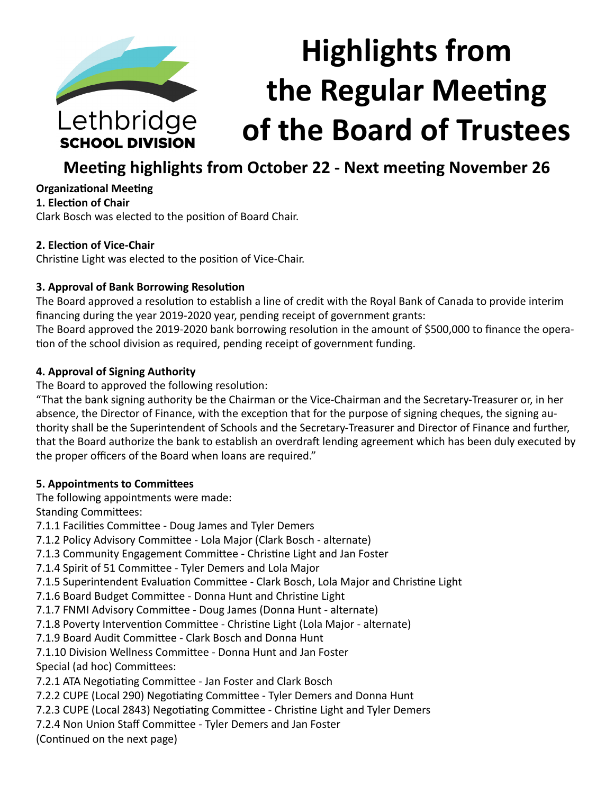

# **Highlights from the Regular Meeting of the Board of Trustees**

### **Meeting highlights from October 22 - Next meeting November 26**

**Organizational Meeting**

**1. Election of Chair**

Clark Bosch was elected to the position of Board Chair.

#### **2. Election of Vice-Chair**

Christine Light was elected to the position of Vice-Chair.

#### **3. Approval of Bank Borrowing Resolution**

The Board approved a resolution to establish a line of credit with the Royal Bank of Canada to provide interim financing during the year 2019-2020 year, pending receipt of government grants:

The Board approved the 2019-2020 bank borrowing resolution in the amount of \$500,000 to finance the operation of the school division as required, pending receipt of government funding.

#### **4. Approval of Signing Authority**

The Board to approved the following resolution:

"That the bank signing authority be the Chairman or the Vice-Chairman and the Secretary-Treasurer or, in her absence, the Director of Finance, with the exception that for the purpose of signing cheques, the signing authority shall be the Superintendent of Schools and the Secretary-Treasurer and Director of Finance and further, that the Board authorize the bank to establish an overdraft lending agreement which has been duly executed by the proper officers of the Board when loans are required."

#### **5. Appointments to Committees**

The following appointments were made:

Standing Committees:

7.1.1 Facilities Committee - Doug James and Tyler Demers

7.1.2 Policy Advisory Committee - Lola Major (Clark Bosch - alternate)

7.1.3 Community Engagement Committee - Christine Light and Jan Foster

7.1.4 Spirit of 51 Committee - Tyler Demers and Lola Major

7.1.5 Superintendent Evaluation Committee - Clark Bosch, Lola Major and Christine Light

7.1.6 Board Budget Committee - Donna Hunt and Christine Light

7.1.7 FNMI Advisory Committee - Doug James (Donna Hunt - alternate)

7.1.8 Poverty Intervention Committee - Christine Light (Lola Major - alternate)

7.1.9 Board Audit Committee - Clark Bosch and Donna Hunt

7.1.10 Division Wellness Committee - Donna Hunt and Jan Foster

Special (ad hoc) Committees:

7.2.1 ATA Negotiating Committee - Jan Foster and Clark Bosch

7.2.2 CUPE (Local 290) Negotiating Committee - Tyler Demers and Donna Hunt

7.2.3 CUPE (Local 2843) Negotiating Committee - Christine Light and Tyler Demers

7.2.4 Non Union Staff Committee - Tyler Demers and Jan Foster

(Continued on the next page)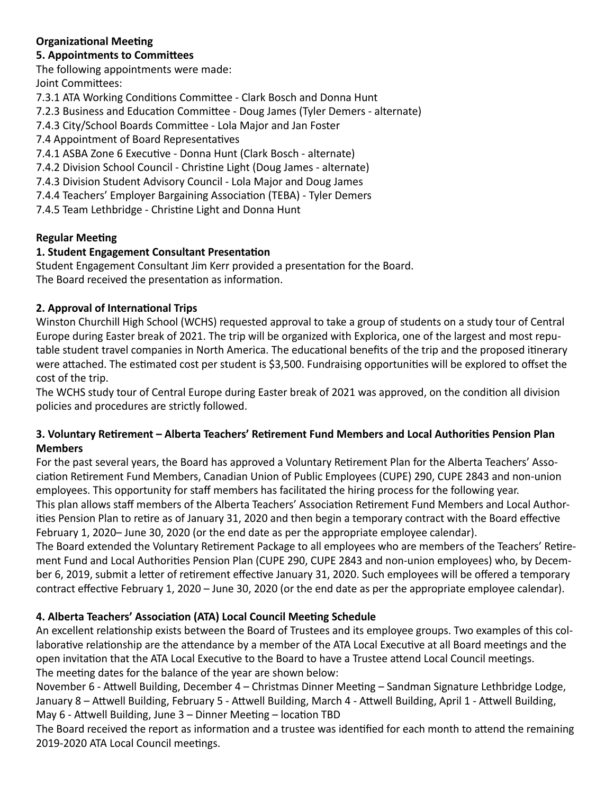#### **Organizational Meeting**

#### **5. Appointments to Committees**

The following appointments were made: Joint Committees:

7.3.1 ATA Working Conditions Committee - Clark Bosch and Donna Hunt

7.2.3 Business and Education Committee - Doug James (Tyler Demers - alternate)

7.4.3 City/School Boards Committee - Lola Major and Jan Foster

7.4 Appointment of Board Representatives

7.4.1 ASBA Zone 6 Executive - Donna Hunt (Clark Bosch - alternate)

7.4.2 Division School Council - Christine Light (Doug James - alternate)

7.4.3 Division Student Advisory Council - Lola Major and Doug James

7.4.4 Teachers' Employer Bargaining Association (TEBA) - Tyler Demers

7.4.5 Team Lethbridge - Christine Light and Donna Hunt

#### **Regular Meeting**

#### **1. Student Engagement Consultant Presentation**

Student Engagement Consultant Jim Kerr provided a presentation for the Board. The Board received the presentation as information.

#### **2. Approval of International Trips**

Winston Churchill High School (WCHS) requested approval to take a group of students on a study tour of Central Europe during Easter break of 2021. The trip will be organized with Explorica, one of the largest and most reputable student travel companies in North America. The educational benefits of the trip and the proposed itinerary were attached. The estimated cost per student is \$3,500. Fundraising opportunities will be explored to offset the cost of the trip.

The WCHS study tour of Central Europe during Easter break of 2021 was approved, on the condition all division policies and procedures are strictly followed.

#### **3. Voluntary Retirement – Alberta Teachers' Retirement Fund Members and Local Authorities Pension Plan Members**

For the past several years, the Board has approved a Voluntary Retirement Plan for the Alberta Teachers' Association Retirement Fund Members, Canadian Union of Public Employees (CUPE) 290, CUPE 2843 and non-union employees. This opportunity for staff members has facilitated the hiring process for the following year. This plan allows staff members of the Alberta Teachers' Association Retirement Fund Members and Local Authorities Pension Plan to retire as of January 31, 2020 and then begin a temporary contract with the Board effective February 1, 2020– June 30, 2020 (or the end date as per the appropriate employee calendar).

The Board extended the Voluntary Retirement Package to all employees who are members of the Teachers' Retirement Fund and Local Authorities Pension Plan (CUPE 290, CUPE 2843 and non-union employees) who, by December 6, 2019, submit a letter of retirement effective January 31, 2020. Such employees will be offered a temporary contract effective February 1, 2020 – June 30, 2020 (or the end date as per the appropriate employee calendar).

#### **4. Alberta Teachers' Association (ATA) Local Council Meeting Schedule**

An excellent relationship exists between the Board of Trustees and its employee groups. Two examples of this collaborative relationship are the attendance by a member of the ATA Local Executive at all Board meetings and the open invitation that the ATA Local Executive to the Board to have a Trustee attend Local Council meetings. The meeting dates for the balance of the year are shown below:

November 6 - Attwell Building, December 4 – Christmas Dinner Meeting – Sandman Signature Lethbridge Lodge, January 8 – Attwell Building, February 5 - Attwell Building, March 4 - Attwell Building, April 1 - Attwell Building, May 6 - Attwell Building, June 3 – Dinner Meeting – location TBD

The Board received the report as information and a trustee was identified for each month to attend the remaining 2019-2020 ATA Local Council meetings.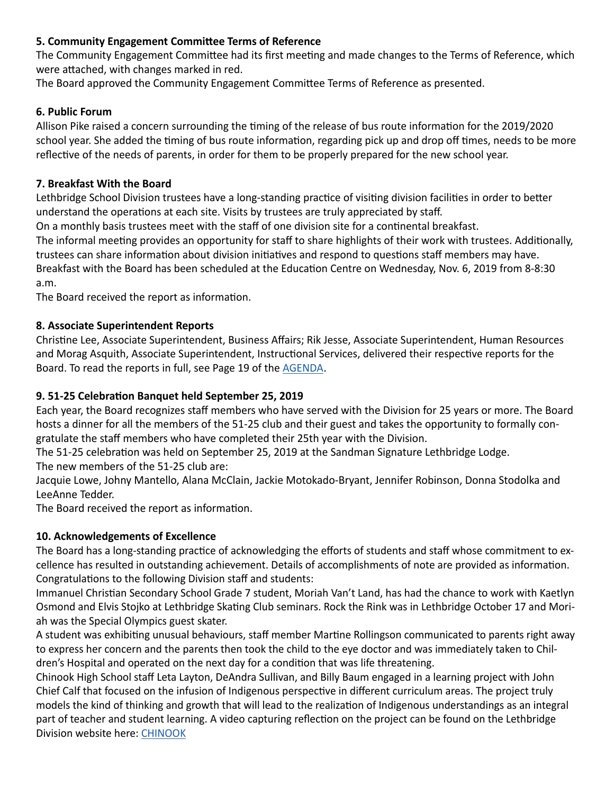#### **5. Community Engagement Committee Terms of Reference**

The Community Engagement Committee had its first meeting and made changes to the Terms of Reference, which were attached, with changes marked in red.

The Board approved the Community Engagement Committee Terms of Reference as presented.

#### **6. Public Forum**

Allison Pike raised a concern surrounding the timing of the release of bus route information for the 2019/2020 school year. She added the timing of bus route information, regarding pick up and drop off times, needs to be more reflective of the needs of parents, in order for them to be properly prepared for the new school year.

#### **7. Breakfast With the Board**

Lethbridge School Division trustees have a long-standing practice of visiting division facilities in order to better understand the operations at each site. Visits by trustees are truly appreciated by staff.

On a monthly basis trustees meet with the staff of one division site for a continental breakfast.

The informal meeting provides an opportunity for staff to share highlights of their work with trustees. Additionally, trustees can share information about division initiatives and respond to questions staff members may have. Breakfast with the Board has been scheduled at the Education Centre on Wednesday, Nov. 6, 2019 from 8-8:30 a.m.

The Board received the report as information.

#### **8. Associate Superintendent Reports**

Christine Lee, Associate Superintendent, Business Affairs; Rik Jesse, Associate Superintendent, Human Resources and Morag Asquith, Associate Superintendent, Instructional Services, delivered their respective reports for the Board. To read the reports in full, see Page 19 of the [AGENDA.](https://www.lethsd.ab.ca/download/209800)

#### **9. 51-25 Celebration Banquet held September 25, 2019**

Each year, the Board recognizes staff members who have served with the Division for 25 years or more. The Board hosts a dinner for all the members of the 51-25 club and their guest and takes the opportunity to formally congratulate the staff members who have completed their 25th year with the Division.

The 51-25 celebration was held on September 25, 2019 at the Sandman Signature Lethbridge Lodge. The new members of the 51-25 club are:

Jacquie Lowe, Johny Mantello, Alana McClain, Jackie Motokado-Bryant, Jennifer Robinson, Donna Stodolka and LeeAnne Tedder.

The Board received the report as information.

#### **10. Acknowledgements of Excellence**

The Board has a long-standing practice of acknowledging the efforts of students and staff whose commitment to excellence has resulted in outstanding achievement. Details of accomplishments of note are provided as information. Congratulations to the following Division staff and students:

Immanuel Christian Secondary School Grade 7 student, Moriah Van't Land, has had the chance to work with Kaetlyn Osmond and Elvis Stojko at Lethbridge Skating Club seminars. Rock the Rink was in Lethbridge October 17 and Moriah was the Special Olympics guest skater.

A student was exhibiting unusual behaviours, staff member Martine Rollingson communicated to parents right away to express her concern and the parents then took the child to the eye doctor and was immediately taken to Children's Hospital and operated on the next day for a condition that was life threatening.

Chinook High School staff Leta Layton, DeAndra Sullivan, and Billy Baum engaged in a learning project with John Chief Calf that focused on the infusion of Indigenous perspective in different curriculum areas. The project truly models the kind of thinking and growth that will lead to the realization of Indigenous understandings as an integral part of teacher and student learning. A video capturing reflection on the project can be found on the Lethbridge Division website here: [CHINOOK](https://www.lethsd.ab.ca/our-district/news/post/chinook-participates-in-innovative-learningshared-project)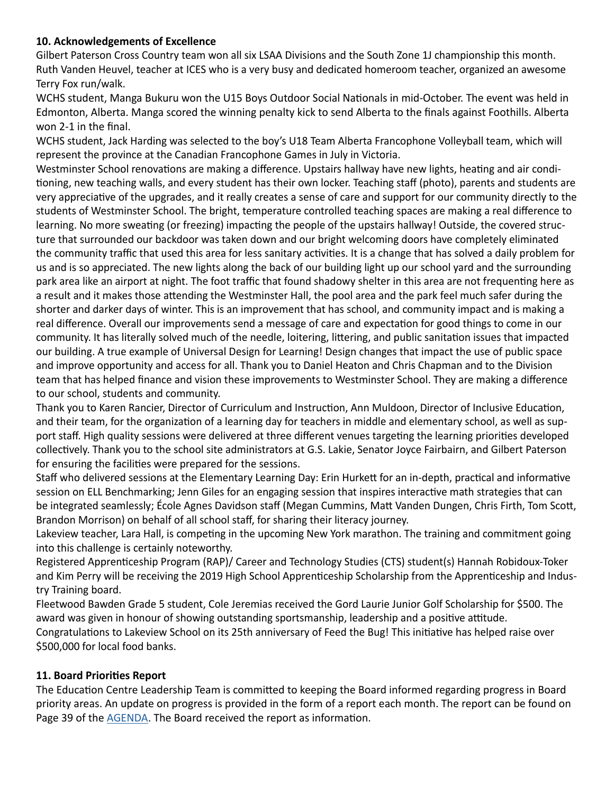#### **10. Acknowledgements of Excellence**

Gilbert Paterson Cross Country team won all six LSAA Divisions and the South Zone 1J championship this month. Ruth Vanden Heuvel, teacher at ICES who is a very busy and dedicated homeroom teacher, organized an awesome Terry Fox run/walk.

WCHS student, Manga Bukuru won the U15 Boys Outdoor Social Nationals in mid-October. The event was held in Edmonton, Alberta. Manga scored the winning penalty kick to send Alberta to the finals against Foothills. Alberta won 2-1 in the final.

WCHS student, Jack Harding was selected to the boy's U18 Team Alberta Francophone Volleyball team, which will represent the province at the Canadian Francophone Games in July in Victoria.

Westminster School renovations are making a difference. Upstairs hallway have new lights, heating and air conditioning, new teaching walls, and every student has their own locker. Teaching staff (photo), parents and students are very appreciative of the upgrades, and it really creates a sense of care and support for our community directly to the students of Westminster School. The bright, temperature controlled teaching spaces are making a real difference to learning. No more sweating (or freezing) impacting the people of the upstairs hallway! Outside, the covered structure that surrounded our backdoor was taken down and our bright welcoming doors have completely eliminated the community traffic that used this area for less sanitary activities. It is a change that has solved a daily problem for us and is so appreciated. The new lights along the back of our building light up our school yard and the surrounding park area like an airport at night. The foot traffic that found shadowy shelter in this area are not frequenting here as a result and it makes those attending the Westminster Hall, the pool area and the park feel much safer during the shorter and darker days of winter. This is an improvement that has school, and community impact and is making a real difference. Overall our improvements send a message of care and expectation for good things to come in our community. It has literally solved much of the needle, loitering, littering, and public sanitation issues that impacted our building. A true example of Universal Design for Learning! Design changes that impact the use of public space and improve opportunity and access for all. Thank you to Daniel Heaton and Chris Chapman and to the Division team that has helped finance and vision these improvements to Westminster School. They are making a difference to our school, students and community.

Thank you to Karen Rancier, Director of Curriculum and Instruction, Ann Muldoon, Director of Inclusive Education, and their team, for the organization of a learning day for teachers in middle and elementary school, as well as support staff. High quality sessions were delivered at three different venues targeting the learning priorities developed collectively. Thank you to the school site administrators at G.S. Lakie, Senator Joyce Fairbairn, and Gilbert Paterson for ensuring the facilities were prepared for the sessions.

Staff who delivered sessions at the Elementary Learning Day: Erin Hurkett for an in-depth, practical and informative session on ELL Benchmarking; Jenn Giles for an engaging session that inspires interactive math strategies that can be integrated seamlessly; École Agnes Davidson staff (Megan Cummins, Matt Vanden Dungen, Chris Firth, Tom Scott, Brandon Morrison) on behalf of all school staff, for sharing their literacy journey.

Lakeview teacher, Lara Hall, is competing in the upcoming New York marathon. The training and commitment going into this challenge is certainly noteworthy.

Registered Apprenticeship Program (RAP)/ Career and Technology Studies (CTS) student(s) Hannah Robidoux-Toker and Kim Perry will be receiving the 2019 High School Apprenticeship Scholarship from the Apprenticeship and Industry Training board.

Fleetwood Bawden Grade 5 student, Cole Jeremias received the Gord Laurie Junior Golf Scholarship for \$500. The award was given in honour of showing outstanding sportsmanship, leadership and a positive attitude.

Congratulations to Lakeview School on its 25th anniversary of Feed the Bug! This initiative has helped raise over \$500,000 for local food banks.

#### **11. Board Priorities Report**

The Education Centre Leadership Team is committed to keeping the Board informed regarding progress in Board priority areas. An update on progress is provided in the form of a report each month. The report can be found on Page 39 of the [AGENDA.](https://www.lethsd.ab.ca/download/209800) The Board received the report as information.